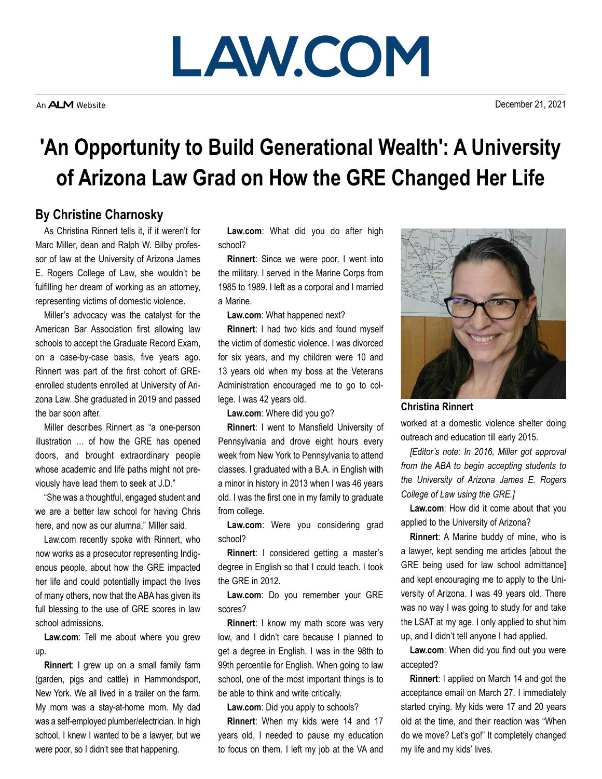## **LAW.COM**

December 21, 2021

## **'An Opportunity to Build Generational Wealth': A University of Arizona Law Grad on How the GRE Changed Her Life**

## **By Christine Charnosky**

As Christina Rinnert tells it, if it weren't for Marc Miller, dean and Ralph W. Bilby professor of law at the University of Arizona James E. Rogers College of Law, she wouldn't be fulfilling her dream of working as an attorney, representing victims of domestic violence.

Miller's advocacy was the catalyst for the American Bar Association first allowing law schools to accept the Graduate Record Exam, on a case-by-case basis, five years ago. Rinnert was part of the first cohort of GREenrolled students enrolled at University of Arizona Law. She graduated in 2019 and passed the bar soon after.

Miller describes Rinnert as "a one-person illustration … of how the GRE has opened doors, and brought extraordinary people whose academic and life paths might not previously have lead them to seek at J.D."

"She was a thoughtful, engaged student and we are a better law school for having Chris here, and now as our alumna," Miller said.

Law.com recently spoke with Rinnert, who now works as a prosecutor representing Indigenous people, about how the GRE impacted her life and could potentially impact the lives of many others, now that the ABA has given its full blessing to the use of GRE scores in law school admissions.

**Law.com**: Tell me about where you grew up.

**Rinnert**: I grew up on a small family farm (garden, pigs and cattle) in Hammondsport, New York. We all lived in a trailer on the farm. My mom was a stay-at-home mom. My dad was a self-employed plumber/electrician. In high school, I knew I wanted to be a lawyer, but we were poor, so I didn't see that happening.

**Law.com**: What did you do after high school?

**Rinnert**: Since we were poor, I went into the military. I served in the Marine Corps from 1985 to 1989. I left as a corporal and I married a Marine.

**Law.com**: What happened next?

**Rinnert**: I had two kids and found myself the victim of domestic violence. I was divorced for six years, and my children were 10 and 13 years old when my boss at the Veterans Administration encouraged me to go to college. I was 42 years old.

**Law.com**: Where did you go?

**Rinnert**: I went to Mansfield University of Pennsylvania and drove eight hours every week from New York to Pennsylvania to attend classes. I graduated with a B.A. in English with a minor in history in 2013 when I was 46 years old. I was the first one in my family to graduate from college.

**Law.com**: Were you considering grad school?

**Rinnert**: I considered getting a master's degree in English so that I could teach. I took the GRE in 2012.

**Law.com**: Do you remember your GRE scores?

**Rinnert**: I know my math score was very low, and I didn't care because I planned to get a degree in English. I was in the 98th to 99th percentile for English. When going to law school, one of the most important things is to be able to think and write critically.

**Law.com**: Did you apply to schools?

**Rinnert**: When my kids were 14 and 17 years old, I needed to pause my education to focus on them. I left my job at the VA and



**Christina Rinnert**

worked at a domestic violence shelter doing outreach and education till early 2015.

*[Editor's note: In 2016, Miller got approval from the ABA to begin accepting students to the University of Arizona James E. Rogers College of Law using the GRE.]*

**Law.com**: How did it come about that you applied to the University of Arizona?

**Rinnert**: A Marine buddy of mine, who is a lawyer, kept sending me articles [about the GRE being used for law school admittance] and kept encouraging me to apply to the University of Arizona. I was 49 years old. There was no way I was going to study for and take the LSAT at my age. I only applied to shut him up, and I didn't tell anyone I had applied.

**Law.com**: When did you find out you were accepted?

**Rinnert**: I applied on March 14 and got the acceptance email on March 27. I immediately started crying. My kids were 17 and 20 years old at the time, and their reaction was "When do we move? Let's go!" It completely changed my life and my kids' lives.